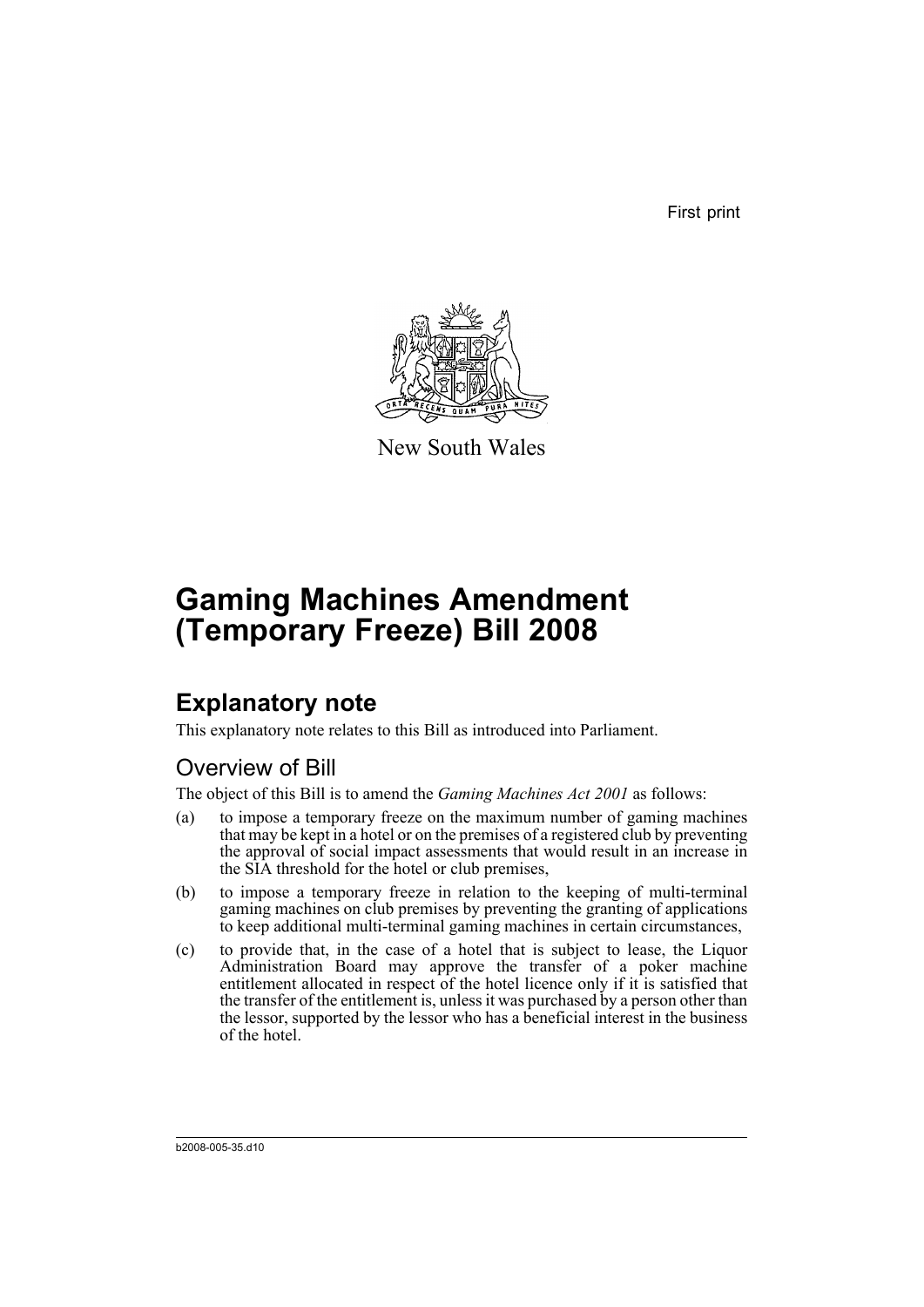First print



New South Wales

# **Gaming Machines Amendment (Temporary Freeze) Bill 2008**

## **Explanatory note**

This explanatory note relates to this Bill as introduced into Parliament.

## Overview of Bill

The object of this Bill is to amend the *Gaming Machines Act 2001* as follows:

- (a) to impose a temporary freeze on the maximum number of gaming machines that may be kept in a hotel or on the premises of a registered club by preventing the approval of social impact assessments that would result in an increase in the SIA threshold for the hotel or club premises,
- (b) to impose a temporary freeze in relation to the keeping of multi-terminal gaming machines on club premises by preventing the granting of applications to keep additional multi-terminal gaming machines in certain circumstances,
- (c) to provide that, in the case of a hotel that is subject to lease, the Liquor Administration Board may approve the transfer of a poker machine entitlement allocated in respect of the hotel licence only if it is satisfied that the transfer of the entitlement is, unless it was purchased by a person other than the lessor, supported by the lessor who has a beneficial interest in the business of the hotel.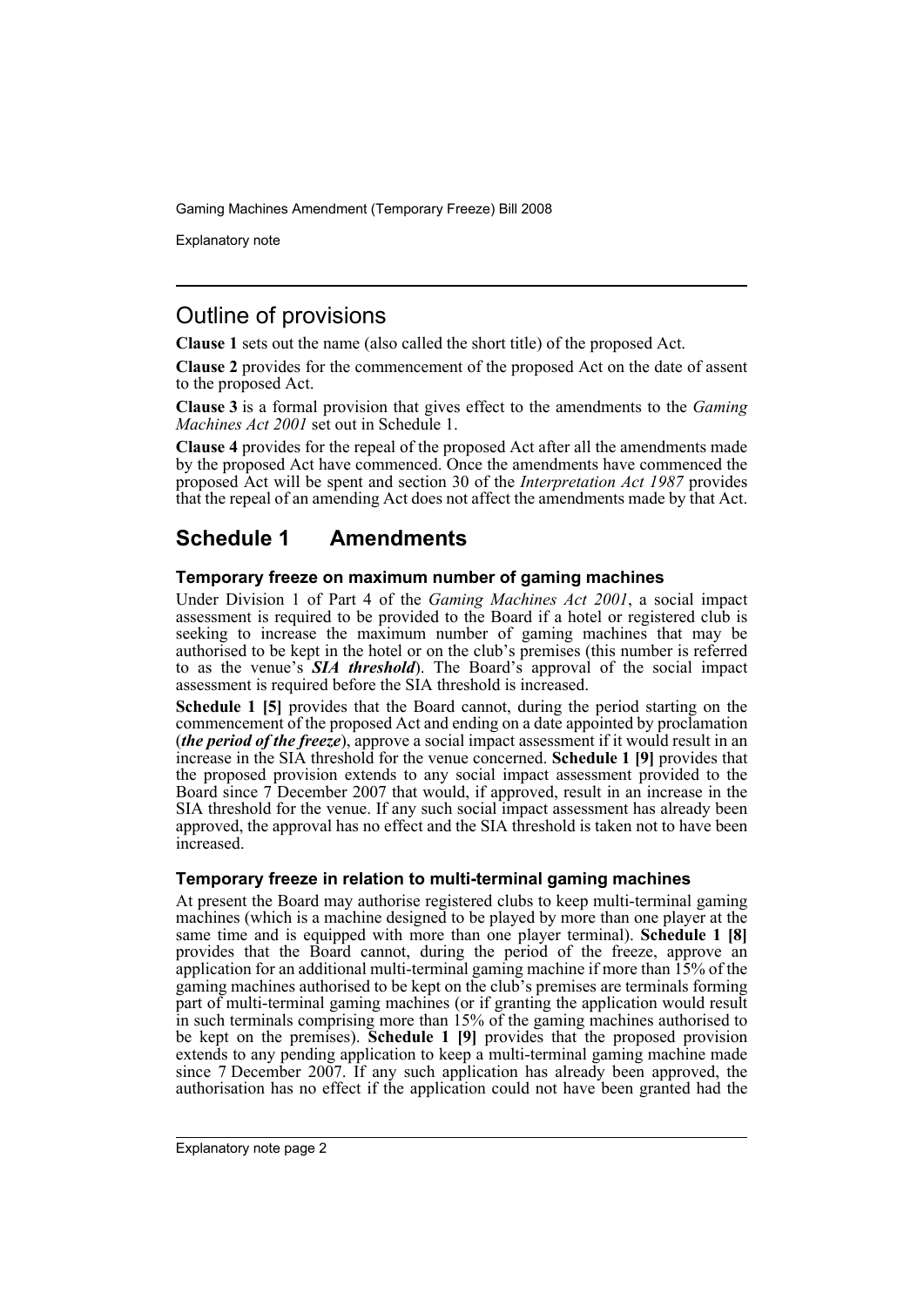Explanatory note

### Outline of provisions

**Clause 1** sets out the name (also called the short title) of the proposed Act.

**Clause 2** provides for the commencement of the proposed Act on the date of assent to the proposed Act.

**Clause 3** is a formal provision that gives effect to the amendments to the *Gaming Machines Act 2001* set out in Schedule 1.

**Clause 4** provides for the repeal of the proposed Act after all the amendments made by the proposed Act have commenced. Once the amendments have commenced the proposed Act will be spent and section 30 of the *Interpretation Act 1987* provides that the repeal of an amending Act does not affect the amendments made by that Act.

### **Schedule 1 Amendments**

#### **Temporary freeze on maximum number of gaming machines**

Under Division 1 of Part 4 of the *Gaming Machines Act 2001*, a social impact assessment is required to be provided to the Board if a hotel or registered club is seeking to increase the maximum number of gaming machines that may be authorised to be kept in the hotel or on the club's premises (this number is referred to as the venue's *SIA threshold*). The Board's approval of the social impact assessment is required before the SIA threshold is increased.

**Schedule 1 [5]** provides that the Board cannot, during the period starting on the commencement of the proposed Act and ending on a date appointed by proclamation (*the period of the freeze*), approve a social impact assessment if it would result in an increase in the SIA threshold for the venue concerned. **Schedule 1 [9]** provides that the proposed provision extends to any social impact assessment provided to the Board since 7 December 2007 that would, if approved, result in an increase in the SIA threshold for the venue. If any such social impact assessment has already been approved, the approval has no effect and the SIA threshold is taken not to have been increased.

#### **Temporary freeze in relation to multi-terminal gaming machines**

At present the Board may authorise registered clubs to keep multi-terminal gaming machines (which is a machine designed to be played by more than one player at the same time and is equipped with more than one player terminal). **Schedule 1 [8]** provides that the Board cannot, during the period of the freeze, approve an application for an additional multi-terminal gaming machine if more than 15% of the gaming machines authorised to be kept on the club's premises are terminals forming part of multi-terminal gaming machines (or if granting the application would result in such terminals comprising more than 15% of the gaming machines authorised to be kept on the premises). **Schedule 1 [9]** provides that the proposed provision extends to any pending application to keep a multi-terminal gaming machine made since 7 December 2007. If any such application has already been approved, the authorisation has no effect if the application could not have been granted had the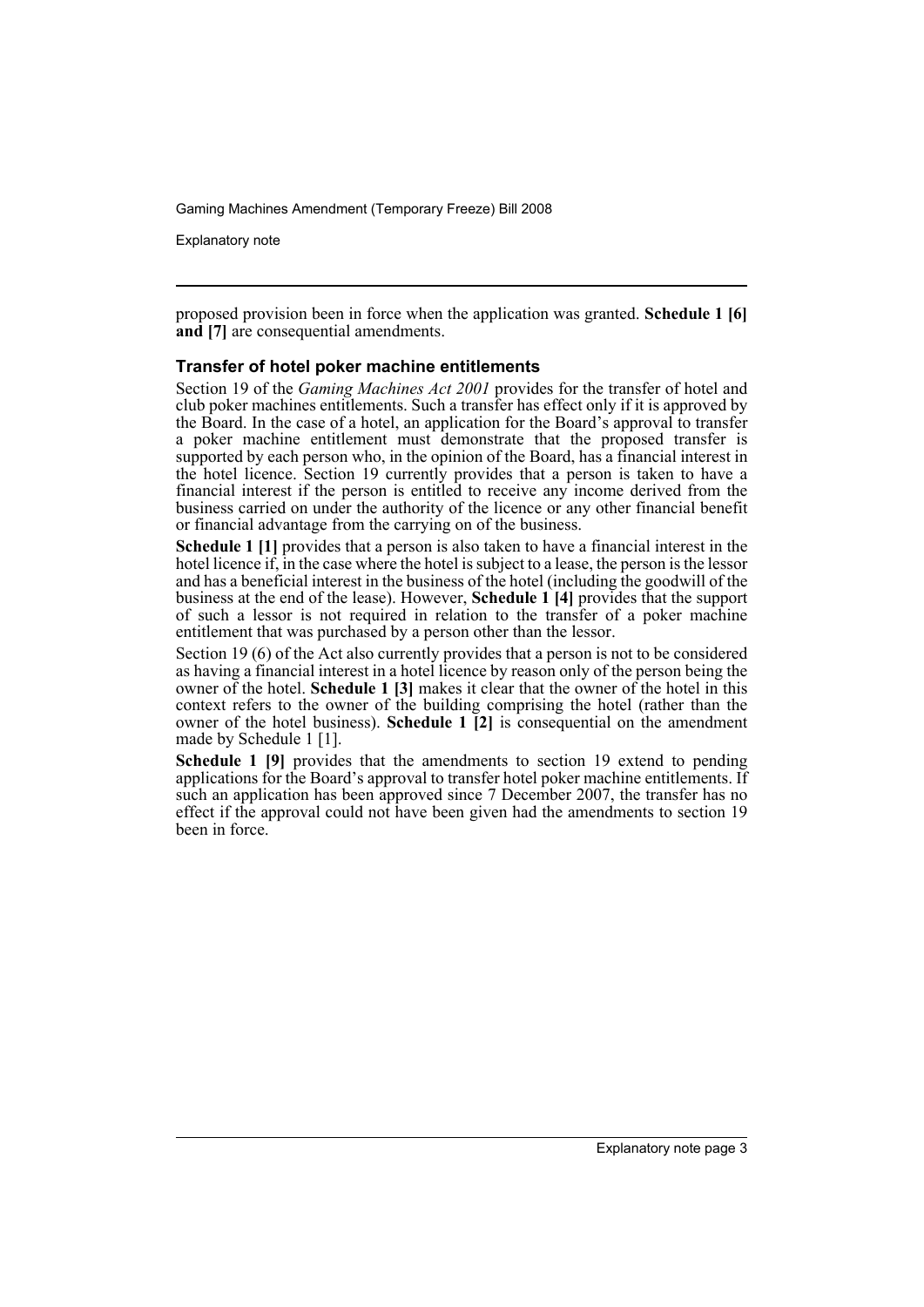Explanatory note

proposed provision been in force when the application was granted. **Schedule 1 [6] and** [7] are consequential amendments.

#### **Transfer of hotel poker machine entitlements**

Section 19 of the *Gaming Machines Act 2001* provides for the transfer of hotel and club poker machines entitlements. Such a transfer has effect only if it is approved by the Board. In the case of a hotel, an application for the Board's approval to transfer a poker machine entitlement must demonstrate that the proposed transfer is supported by each person who, in the opinion of the Board, has a financial interest in the hotel licence. Section 19 currently provides that a person is taken to have a financial interest if the person is entitled to receive any income derived from the business carried on under the authority of the licence or any other financial benefit or financial advantage from the carrying on of the business.

**Schedule 1 [1]** provides that a person is also taken to have a financial interest in the hotel licence if, in the case where the hotel is subject to a lease, the person is the lessor and has a beneficial interest in the business of the hotel (including the goodwill of the business at the end of the lease). However, **Schedule 1 [4]** provides that the support of such a lessor is not required in relation to the transfer of a poker machine entitlement that was purchased by a person other than the lessor.

Section 19 (6) of the Act also currently provides that a person is not to be considered as having a financial interest in a hotel licence by reason only of the person being the owner of the hotel. **Schedule 1 [3]** makes it clear that the owner of the hotel in this context refers to the owner of the building comprising the hotel (rather than the owner of the hotel business). **Schedule 1 [2]** is consequential on the amendment made by Schedule 1 [1].

**Schedule 1 [9]** provides that the amendments to section 19 extend to pending applications for the Board's approval to transfer hotel poker machine entitlements. If such an application has been approved since 7 December 2007, the transfer has no effect if the approval could not have been given had the amendments to section 19 been in force.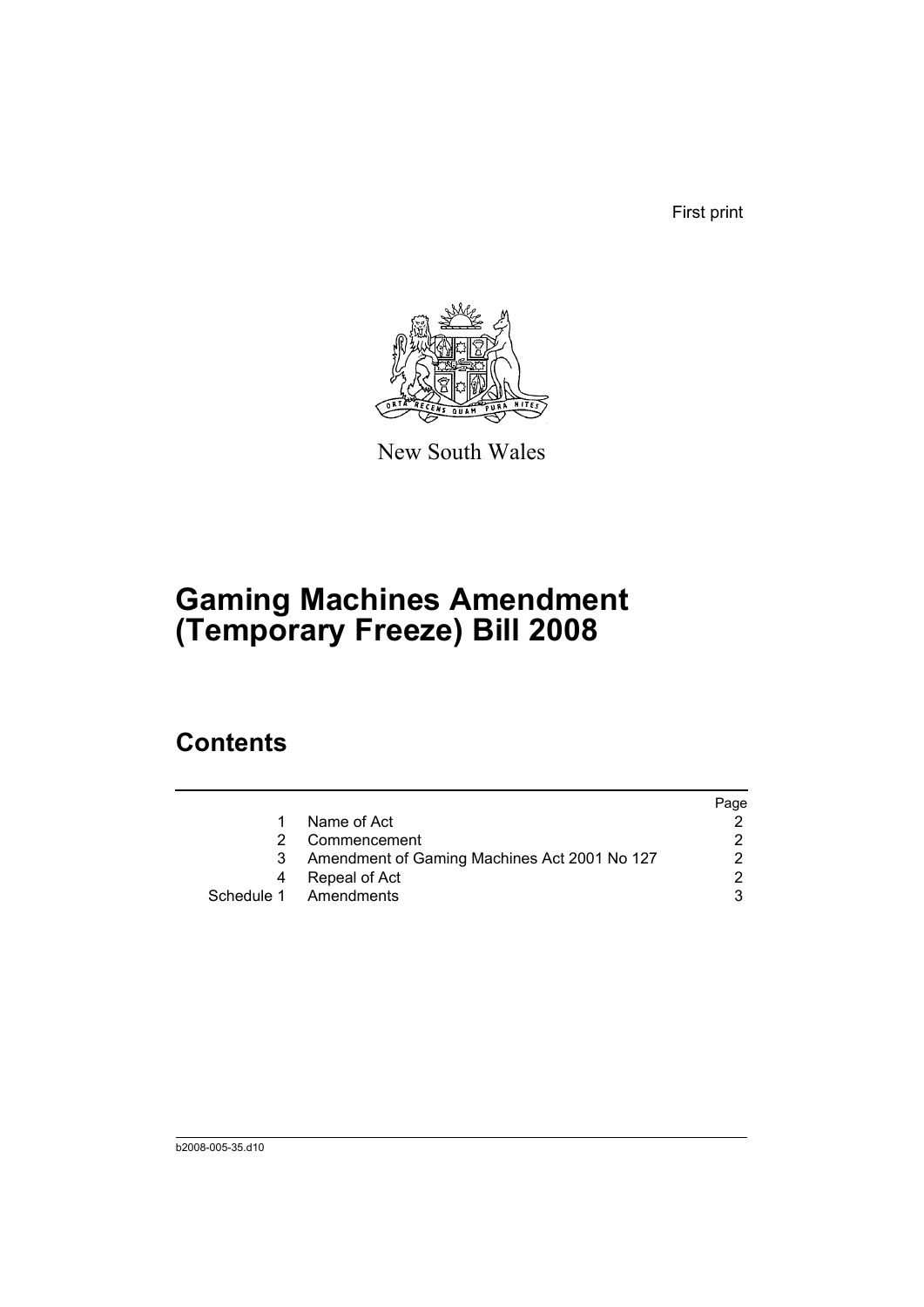First print



New South Wales

# **Gaming Machines Amendment (Temporary Freeze) Bill 2008**

## **Contents**

|                                              | Page |
|----------------------------------------------|------|
| Name of Act                                  |      |
| Commencement                                 |      |
| Amendment of Gaming Machines Act 2001 No 127 | 2    |
| Repeal of Act                                | 2    |
| Schedule 1 Amendments                        | વ    |
|                                              |      |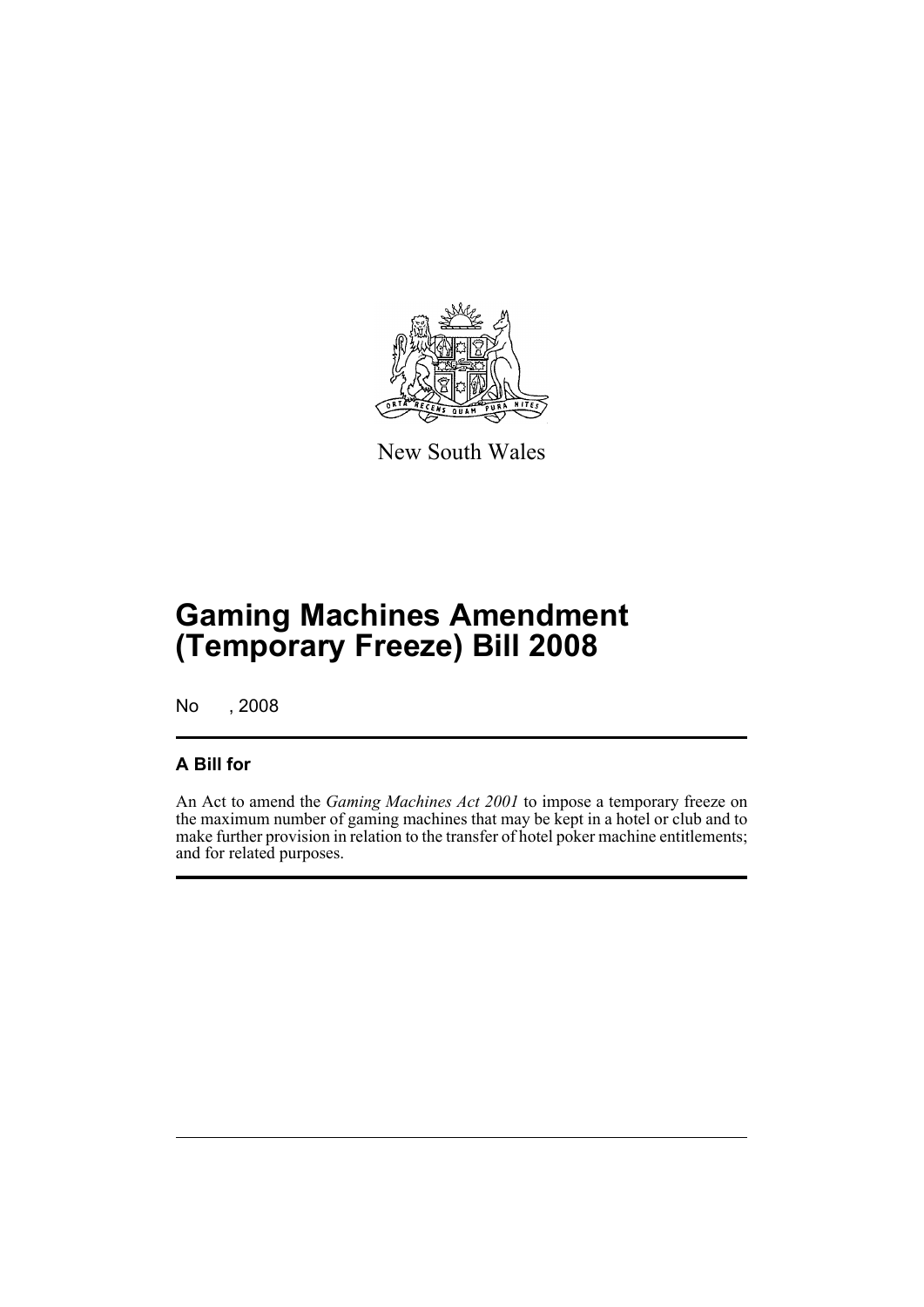

New South Wales

# **Gaming Machines Amendment (Temporary Freeze) Bill 2008**

No , 2008

### **A Bill for**

An Act to amend the *Gaming Machines Act 2001* to impose a temporary freeze on the maximum number of gaming machines that may be kept in a hotel or club and to make further provision in relation to the transfer of hotel poker machine entitlements; and for related purposes.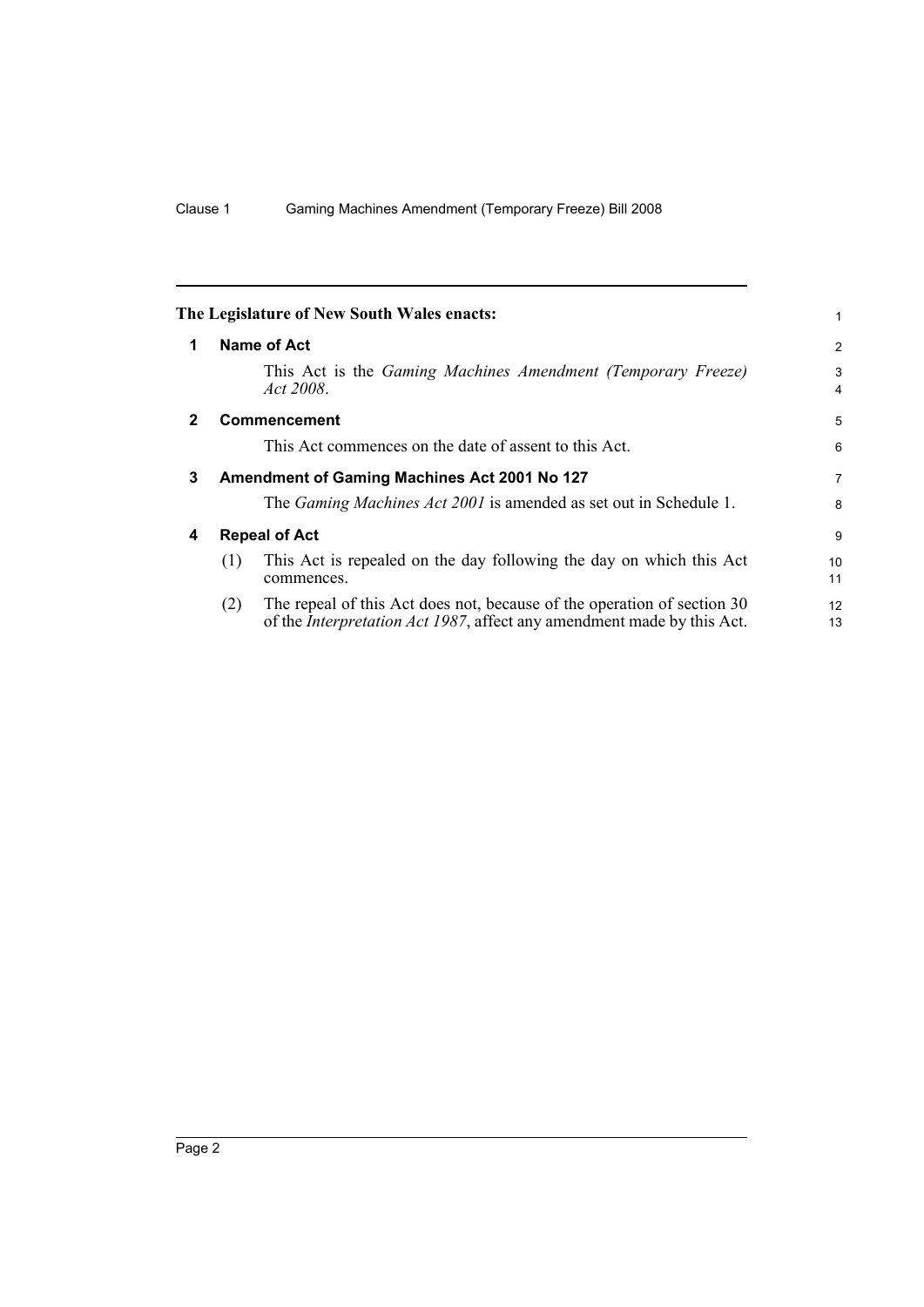<span id="page-7-3"></span><span id="page-7-2"></span><span id="page-7-1"></span><span id="page-7-0"></span>

|             | The Legislature of New South Wales enacts:                                                                                                                       | 1                   |
|-------------|------------------------------------------------------------------------------------------------------------------------------------------------------------------|---------------------|
| 1           | <b>Name of Act</b>                                                                                                                                               | $\overline{2}$      |
|             | This Act is the <i>Gaming Machines Amendment (Temporary Freeze)</i><br>Act 2008.                                                                                 | 3<br>$\overline{4}$ |
| $\mathbf 2$ | <b>Commencement</b>                                                                                                                                              | 5                   |
|             | This Act commences on the date of assent to this Act.                                                                                                            | 6                   |
| 3           | Amendment of Gaming Machines Act 2001 No 127                                                                                                                     | $\overline{7}$      |
|             | The <i>Gaming Machines Act 2001</i> is amended as set out in Schedule 1.                                                                                         | 8                   |
| 4           | <b>Repeal of Act</b>                                                                                                                                             | 9                   |
|             | This Act is repealed on the day following the day on which this Act<br>(1)<br>commences.                                                                         | 10<br>11            |
|             | The repeal of this Act does not, because of the operation of section 30<br>(2)<br>of the <i>Interpretation Act 1987</i> , affect any amendment made by this Act. | 12<br>13            |
|             |                                                                                                                                                                  |                     |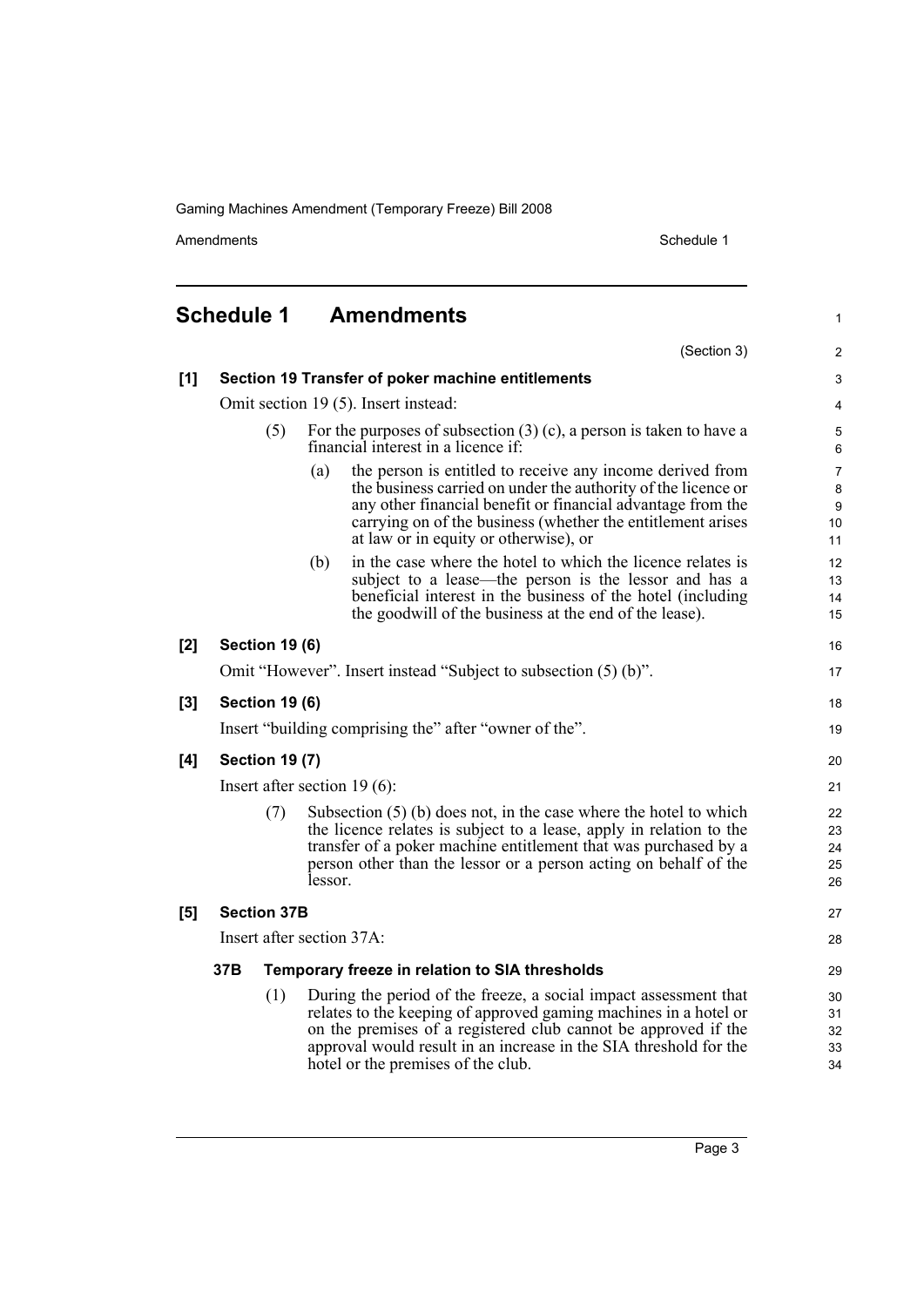Amendments Schedule 1

1

### <span id="page-8-0"></span>**Schedule 1 Amendments**

|     |                                                   |                       |                                                                                                              | (Section 3)                                                                                                                                                                                                                                                                                                       | $\overline{2}$                                      |
|-----|---------------------------------------------------|-----------------------|--------------------------------------------------------------------------------------------------------------|-------------------------------------------------------------------------------------------------------------------------------------------------------------------------------------------------------------------------------------------------------------------------------------------------------------------|-----------------------------------------------------|
| [1] | Section 19 Transfer of poker machine entitlements |                       |                                                                                                              |                                                                                                                                                                                                                                                                                                                   | 3                                                   |
|     | Omit section 19 (5). Insert instead:              |                       |                                                                                                              |                                                                                                                                                                                                                                                                                                                   | $\overline{4}$                                      |
|     | (5)                                               |                       | For the purposes of subsection $(3)$ (c), a person is taken to have a<br>financial interest in a licence if: |                                                                                                                                                                                                                                                                                                                   |                                                     |
|     |                                                   |                       | (a)                                                                                                          | the person is entitled to receive any income derived from<br>the business carried on under the authority of the licence or<br>any other financial benefit or financial advantage from the<br>carrying on of the business (whether the entitlement arises<br>at law or in equity or otherwise), or                 | $\overline{7}$<br>8<br>$\boldsymbol{9}$<br>10<br>11 |
|     |                                                   |                       | (b)                                                                                                          | in the case where the hotel to which the licence relates is<br>subject to a lease—the person is the lessor and has a<br>beneficial interest in the business of the hotel (including<br>the goodwill of the business at the end of the lease).                                                                     | 12<br>13<br>14<br>15                                |
| [2] |                                                   | <b>Section 19 (6)</b> |                                                                                                              |                                                                                                                                                                                                                                                                                                                   | 16                                                  |
|     |                                                   |                       |                                                                                                              | Omit "However". Insert instead "Subject to subsection (5) (b)".                                                                                                                                                                                                                                                   | 17                                                  |
| [3] |                                                   | <b>Section 19 (6)</b> |                                                                                                              |                                                                                                                                                                                                                                                                                                                   | 18                                                  |
|     |                                                   |                       |                                                                                                              | Insert "building comprising the" after "owner of the".                                                                                                                                                                                                                                                            | 19                                                  |
| [4] | <b>Section 19 (7)</b>                             |                       |                                                                                                              |                                                                                                                                                                                                                                                                                                                   | 20                                                  |
|     | Insert after section $19(6)$ :                    |                       |                                                                                                              |                                                                                                                                                                                                                                                                                                                   | 21                                                  |
|     | (7)                                               |                       | lessor.                                                                                                      | Subsection $(5)$ (b) does not, in the case where the hotel to which<br>the licence relates is subject to a lease, apply in relation to the<br>transfer of a poker machine entitlement that was purchased by a<br>person other than the lessor or a person acting on behalf of the                                 | 22<br>23<br>24<br>25<br>26                          |
| [5] | <b>Section 37B</b>                                |                       |                                                                                                              |                                                                                                                                                                                                                                                                                                                   | 27                                                  |
|     | Insert after section 37A:                         |                       |                                                                                                              |                                                                                                                                                                                                                                                                                                                   | 28                                                  |
|     | 37B                                               |                       |                                                                                                              | Temporary freeze in relation to SIA thresholds                                                                                                                                                                                                                                                                    | 29                                                  |
|     |                                                   | (1)                   |                                                                                                              | During the period of the freeze, a social impact assessment that<br>relates to the keeping of approved gaming machines in a hotel or<br>on the premises of a registered club cannot be approved if the<br>approval would result in an increase in the SIA threshold for the<br>hotel or the premises of the club. | 30<br>31<br>32<br>33<br>34                          |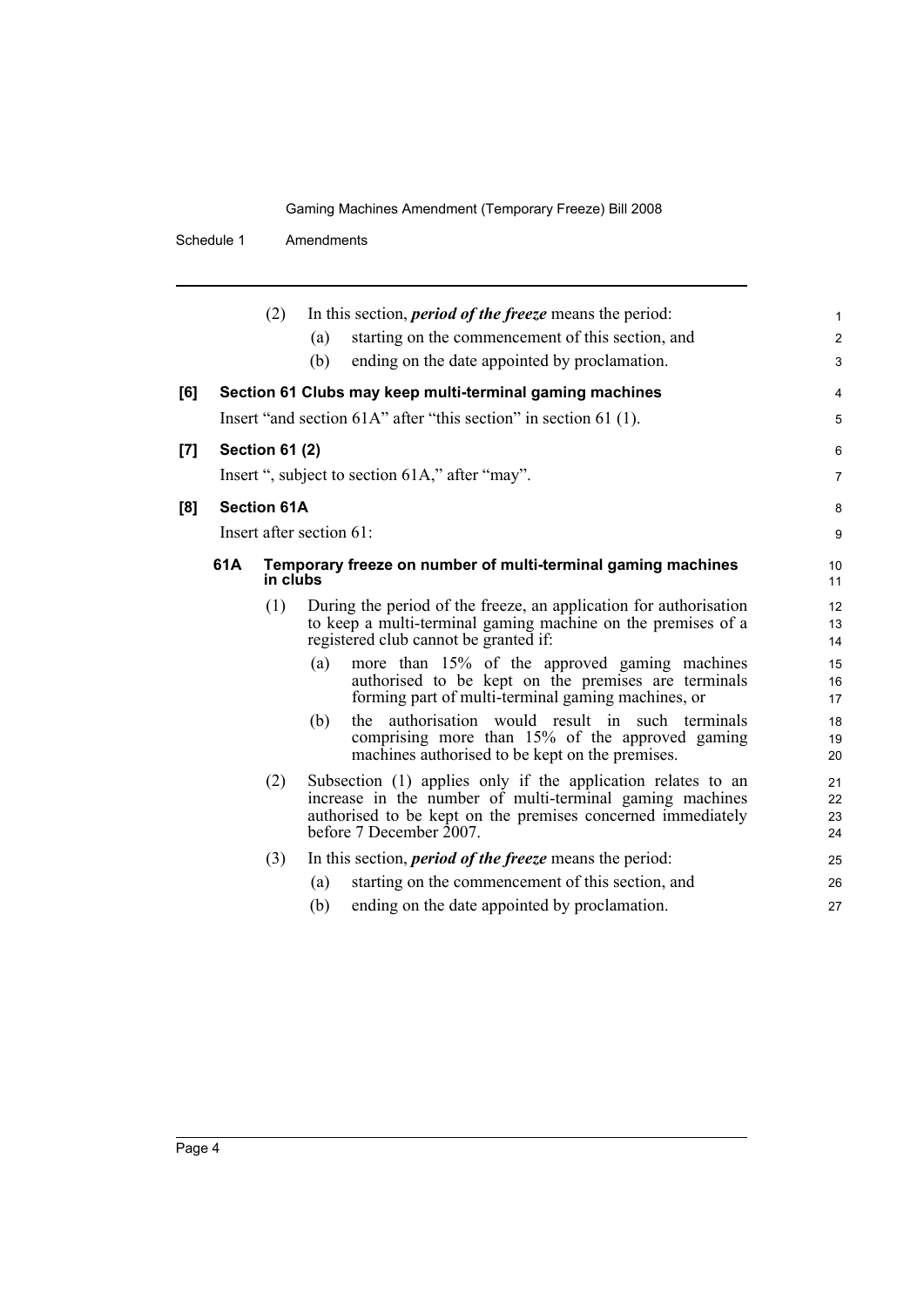Schedule 1 Amendments

|     |     | (2)                                                                      | In this section, <i>period of the freeze</i> means the period:<br>starting on the commencement of this section, and<br>(a)                                                                                         | 1<br>$\overline{\mathbf{c}}$ |
|-----|-----|--------------------------------------------------------------------------|--------------------------------------------------------------------------------------------------------------------------------------------------------------------------------------------------------------------|------------------------------|
|     |     |                                                                          | (b)<br>ending on the date appointed by proclamation.                                                                                                                                                               | 3                            |
| [6] |     |                                                                          | Section 61 Clubs may keep multi-terminal gaming machines                                                                                                                                                           | 4                            |
|     |     |                                                                          | Insert "and section 61A" after "this section" in section 61 (1).                                                                                                                                                   | 5                            |
| [7] |     | <b>Section 61 (2)</b>                                                    |                                                                                                                                                                                                                    | 6                            |
|     |     |                                                                          | Insert ", subject to section 61A," after "may".                                                                                                                                                                    | 7                            |
| [8] |     | <b>Section 61A</b>                                                       |                                                                                                                                                                                                                    | 8                            |
|     |     |                                                                          | Insert after section 61:                                                                                                                                                                                           | 9                            |
|     | 61A | Temporary freeze on number of multi-terminal gaming machines<br>in clubs |                                                                                                                                                                                                                    | 10<br>11                     |
|     |     | (1)                                                                      | During the period of the freeze, an application for authorisation<br>to keep a multi-terminal gaming machine on the premises of a<br>registered club cannot be granted if:                                         | 12<br>13<br>14               |
|     |     |                                                                          | more than 15% of the approved gaming machines<br>(a)<br>authorised to be kept on the premises are terminals<br>forming part of multi-terminal gaming machines, or                                                  | 15<br>16<br>17               |
|     |     |                                                                          | authorisation would result in such terminals<br>(b)<br>the<br>comprising more than 15% of the approved gaming<br>machines authorised to be kept on the premises.                                                   | 18<br>19<br>20               |
|     |     | (2)                                                                      | Subsection (1) applies only if the application relates to an<br>increase in the number of multi-terminal gaming machines<br>authorised to be kept on the premises concerned immediately<br>before 7 December 2007. | 21<br>22<br>23<br>24         |
|     |     | (3)                                                                      | In this section, <i>period of the freeze</i> means the period:                                                                                                                                                     | 25                           |
|     |     |                                                                          | starting on the commencement of this section, and<br>(a)                                                                                                                                                           | 26                           |
|     |     |                                                                          | (b)<br>ending on the date appointed by proclamation.                                                                                                                                                               | 27                           |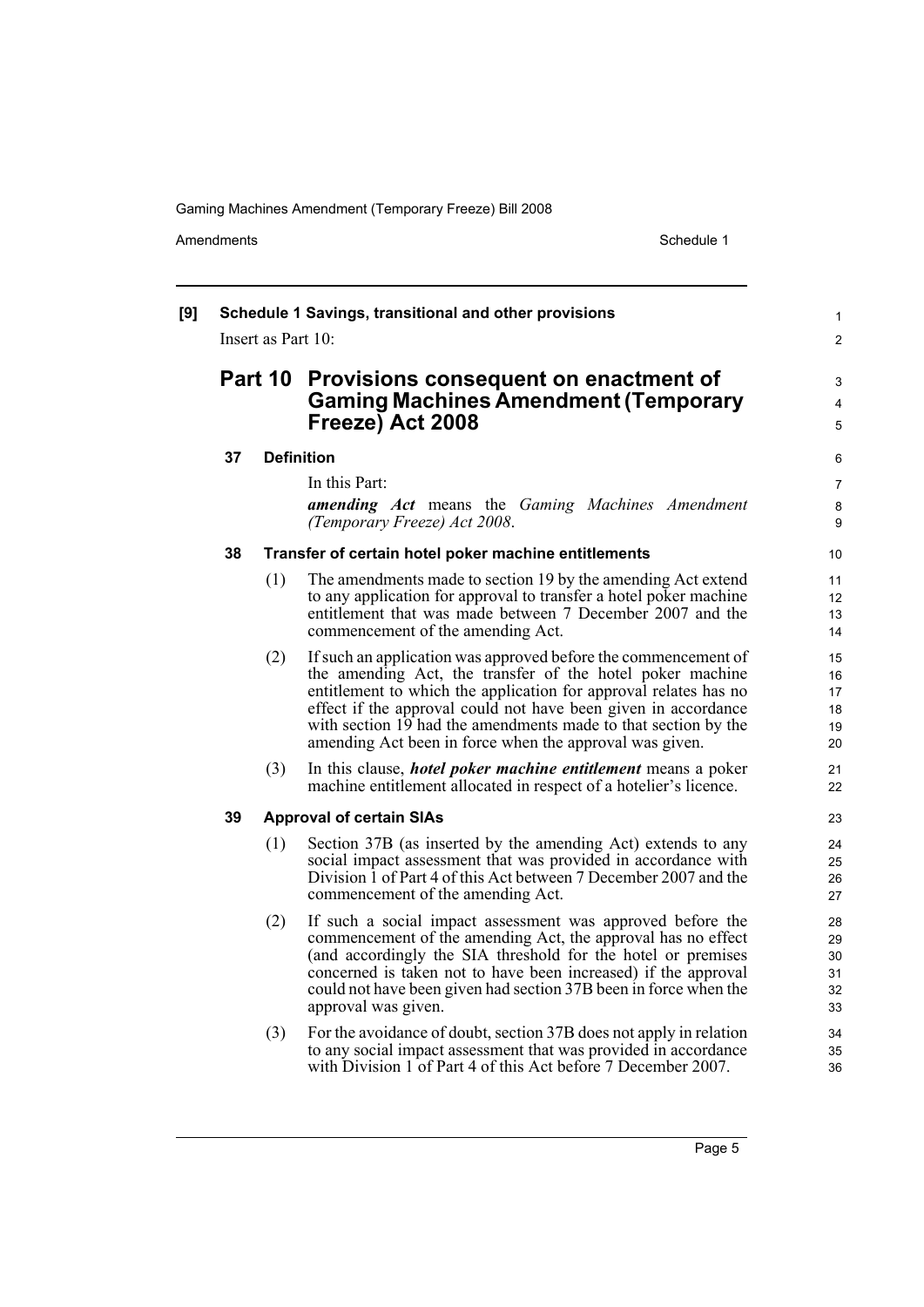Amendments **Amendments** Schedule 1

#### **[9] Schedule 1 Savings, transitional and other provisions** Insert as Part 10: **Part 10 Provisions consequent on enactment of Gaming Machines Amendment (Temporary Freeze) Act 2008 37 Definition** In this Part: *amending Act* means the *Gaming Machines Amendment (Temporary Freeze) Act 2008*. **38 Transfer of certain hotel poker machine entitlements** (1) The amendments made to section 19 by the amending Act extend to any application for approval to transfer a hotel poker machine entitlement that was made between 7 December 2007 and the commencement of the amending Act. (2) If such an application was approved before the commencement of the amending Act, the transfer of the hotel poker machine entitlement to which the application for approval relates has no effect if the approval could not have been given in accordance with section 19 had the amendments made to that section by the amending Act been in force when the approval was given. (3) In this clause, *hotel poker machine entitlement* means a poker machine entitlement allocated in respect of a hotelier's licence. **39 Approval of certain SIAs** (1) Section 37B (as inserted by the amending Act) extends to any social impact assessment that was provided in accordance with Division 1 of Part 4 of this Act between 7 December 2007 and the commencement of the amending Act. (2) If such a social impact assessment was approved before the commencement of the amending Act, the approval has no effect (and accordingly the SIA threshold for the hotel or premises concerned is taken not to have been increased) if the approval could not have been given had section 37B been in force when the approval was given. (3) For the avoidance of doubt, section 37B does not apply in relation to any social impact assessment that was provided in accordance with Division 1 of Part 4 of this Act before 7 December 2007. 1  $\mathfrak{p}$ 3 4 5 6 7 8 **9** 10 11 12 13 14 15 16 17 18 19 20 21 22 23  $24$ 25 26 27 28 29 30 31 32 33  $34$ 35 36